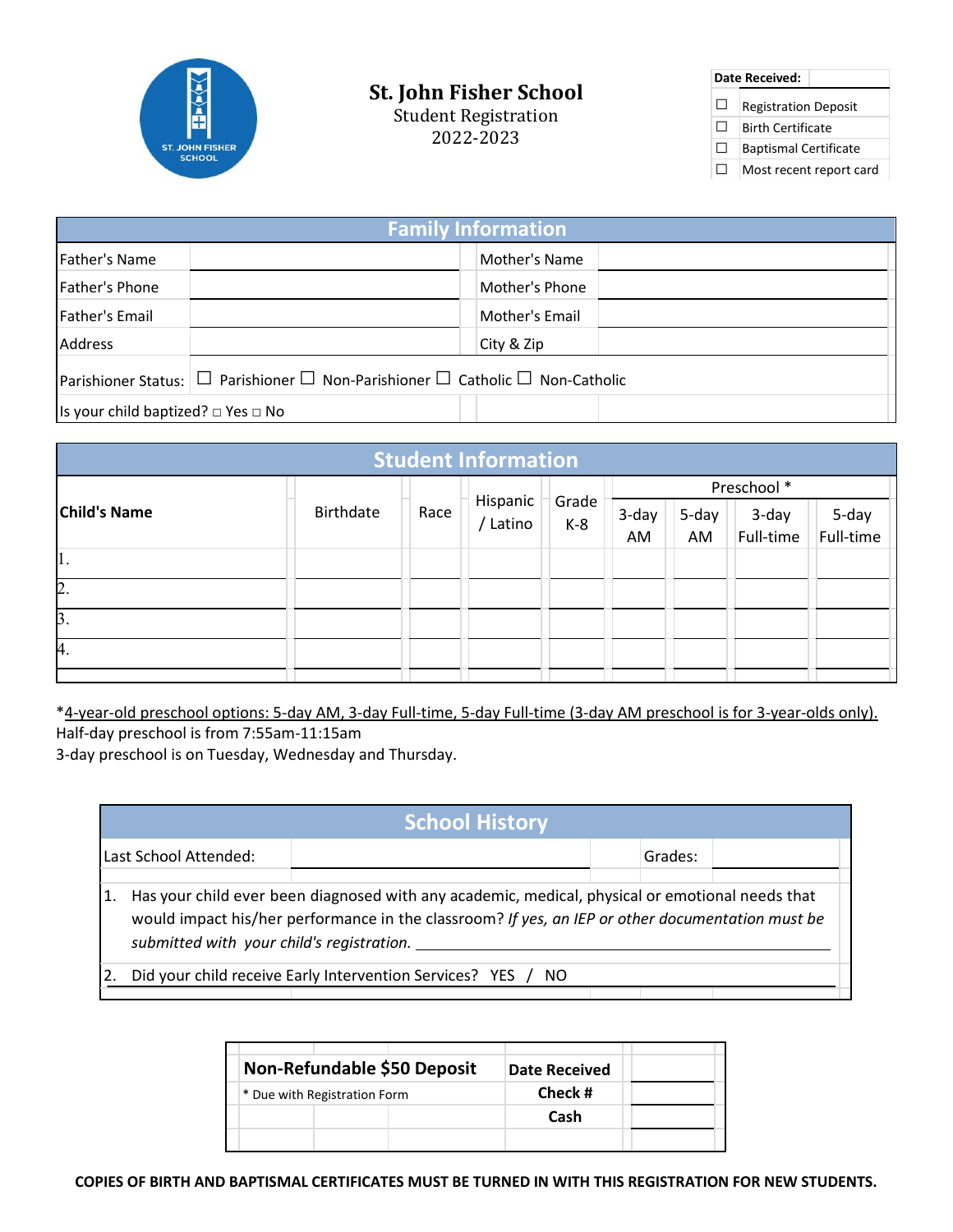

## **St. John Fisher School**

Student Registration 2022-2023

**Date Received:**  $\Box$  Registration Deposit □ Birth Certificate □ Baptismal Certificate □ Most recent report card

| <b>Family Information</b>                          |                                                                                                   |                |  |  |  |
|----------------------------------------------------|---------------------------------------------------------------------------------------------------|----------------|--|--|--|
| Father's Name                                      |                                                                                                   | Mother's Name  |  |  |  |
| Father's Phone                                     |                                                                                                   | Mother's Phone |  |  |  |
| Father's Email                                     |                                                                                                   | Mother's Email |  |  |  |
| Address                                            |                                                                                                   | City & Zip     |  |  |  |
|                                                    | Parishioner Status: $\Box$ Parishioner $\Box$ Non-Parishioner $\Box$ Catholic $\Box$ Non-Catholic |                |  |  |  |
| Is your child baptized? $\square$ Yes $\square$ No |                                                                                                   |                |  |  |  |

| <b>Student Information</b> |                  |      |                      |                |             |       |           |           |
|----------------------------|------------------|------|----------------------|----------------|-------------|-------|-----------|-----------|
|                            | <b>Birthdate</b> | Race | Hispanic<br>/ Latino | Grade<br>$K-8$ | Preschool * |       |           |           |
| <b>Child's Name</b>        |                  |      |                      |                | 3-day       | 5-day | 3-day     | 5-day     |
|                            |                  |      |                      |                | AM          | AM    | Full-time | Full-time |
| 1.                         |                  |      |                      |                |             |       |           |           |
| $\overline{2}$ .           |                  |      |                      |                |             |       |           |           |
| $\beta$ .                  |                  |      |                      |                |             |       |           |           |
| 4.                         |                  |      |                      |                |             |       |           |           |
|                            |                  |      |                      |                |             |       |           |           |

\*4-year-old preschool options: 5-day AM, 3-day Full-time, 5-day Full-time (3-day AM preschool is for 3-year-olds only). Half‐day preschool is from 7:55am‐11:15am

3‐day preschool is on Tuesday, Wednesday and Thursday.

| <b>School History</b>                                                                                                                                                                                                                                  |  |  |         |  |  |  |
|--------------------------------------------------------------------------------------------------------------------------------------------------------------------------------------------------------------------------------------------------------|--|--|---------|--|--|--|
| Last School Attended:                                                                                                                                                                                                                                  |  |  | Grades: |  |  |  |
| Has your child ever been diagnosed with any academic, medical, physical or emotional needs that<br>1.<br>would impact his/her performance in the classroom? If yes, an IEP or other documentation must be<br>submitted with your child's registration. |  |  |         |  |  |  |
| Did your child receive Early Intervention Services? YES / NO                                                                                                                                                                                           |  |  |         |  |  |  |
|                                                                                                                                                                                                                                                        |  |  |         |  |  |  |

| Non-Refundable \$50 Deposit  | Date Received |  |
|------------------------------|---------------|--|
| * Due with Registration Form | Check #       |  |
|                              | Cash          |  |
|                              |               |  |